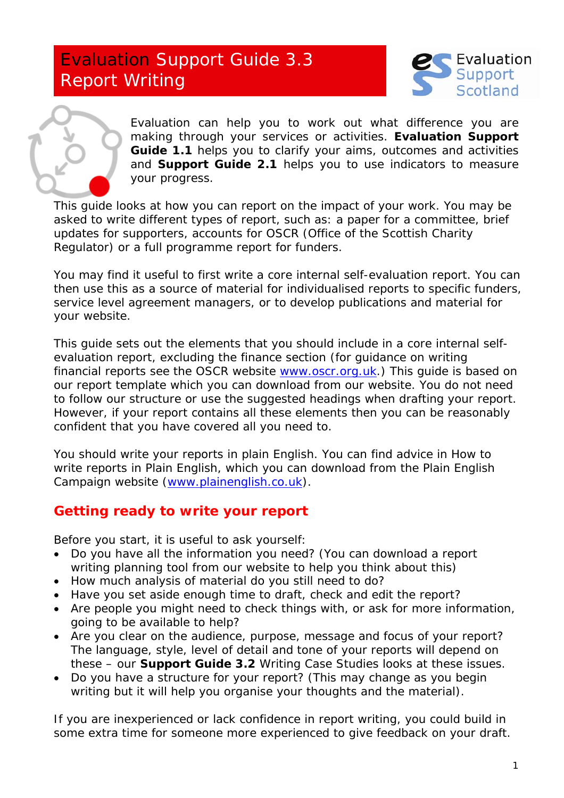# Evaluation Support Guide 3.3 Report Writing





Evaluation can help you to work out what difference you are making through your services or activities. **Evaluation Support Guide 1.1** helps you to clarify your aims, outcomes and activities and **Support Guide 2.1** helps you to use indicators to measure your progress.

This guide looks at how you can report on the impact of your work. You may be asked to write different types of report, such as: a paper for a committee, brief updates for supporters, accounts for OSCR (Office of the Scottish Charity Regulator) or a full programme report for funders.

You may find it useful to first write a core internal self-evaluation report. You can then use this as a source of material for individualised reports to specific funders, service level agreement managers, or to develop publications and material for your website.

This guide sets out the elements that you should include in a core internal selfevaluation report, excluding the finance section (for guidance on writing financial reports see the OSCR website [www.oscr.org.uk](http://www.oscr.org.uk/).) This guide is based on our report template which you can download from our website. You do not need to follow our structure or use the suggested headings when drafting your report. However, if your report contains all these elements then you can be reasonably confident that you have covered all you need to.

You should write your reports in plain English. You can find advice in *How to write reports in Plain English,* which you can download from the Plain English Campaign website ([www.plainenglish.co.uk](http://www.plainenglish.co.uk/)).

# **Getting ready to write your report**

Before you start, it is useful to ask yourself:

- Do you have all the information you need? (You can download a report writing planning tool from our website to help you think about this)
- How much analysis of material do you still need to do?
- Have you set aside enough time to draft, check and edit the report?
- Are people you might need to check things with, or ask for more information, going to be available to help?
- Are you clear on the audience, purpose, message and focus of your report? The language, style, level of detail and tone of your reports will depend on these – our **Support Guide 3.2** *Writing Case Studies* looks at these issues.
- Do you have a structure for your report? (This may change as you begin writing but it will help you organise your thoughts and the material).

If you are inexperienced or lack confidence in report writing, you could build in some extra time for someone more experienced to give feedback on your draft.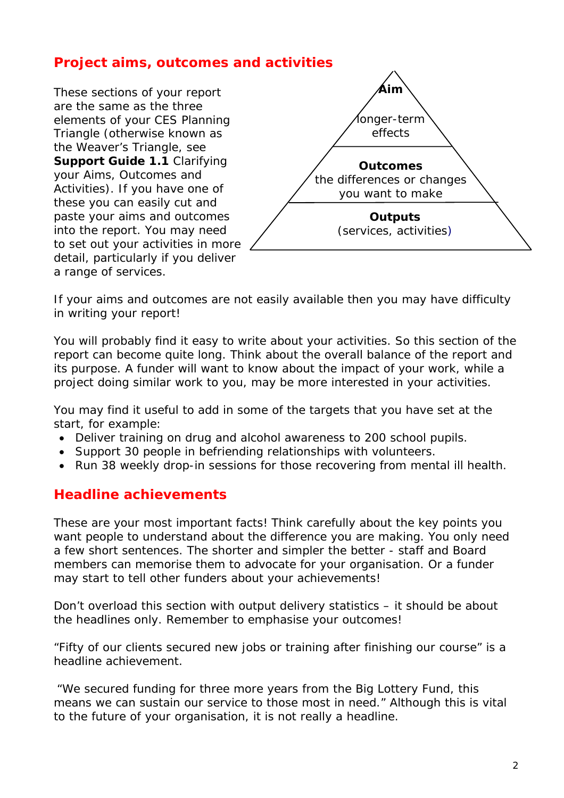# **Project aims, outcomes and activities**

These sections of your report are the same as the three elements of your CES Planning Triangle (otherwise known as the Weaver's Triangle, see **Support Guide 1.1** *Clarifying your Aims, Outcomes and Activities*). If you have one of these you can easily cut and paste your aims and outcomes into the report. You may need to set out your activities in more detail, particularly if you deliver a range of services.



If your aims and outcomes are not easily available then you may have difficulty in writing your report!

You will probably find it easy to write about your activities. So this section of the report can become quite long. Think about the overall balance of the report and its purpose. A funder will want to know about the impact of your work, while a project doing similar work to you, may be more interested in your activities.

You may find it useful to add in some of the targets that you have set at the start, for example:

- *Deliver training on drug and alcohol awareness to 200 school pupils.*
- *Support 30 people in befriending relationships with volunteers.*
- *Run 38 weekly drop-in sessions for those recovering from mental ill health.*

#### **Headline achievements**

These are your most important facts! Think carefully about the key points you want people to understand about the difference you are making. You only need a few short sentences. The shorter and simpler the better - staff and Board members can memorise them to advocate for your organisation. Or a funder may start to tell other funders about your achievements!

Don't overload this section with output delivery statistics – it should be about the headlines only. Remember to emphasise your outcomes!

*"Fifty of our clients secured new jobs or training after finishing our course"* is a headline achievement.

*"We secured funding for three more years from the Big Lottery Fund, this means we can sustain our service to those most in need."* Although this is vital to the future of your organisation, it is not really a headline.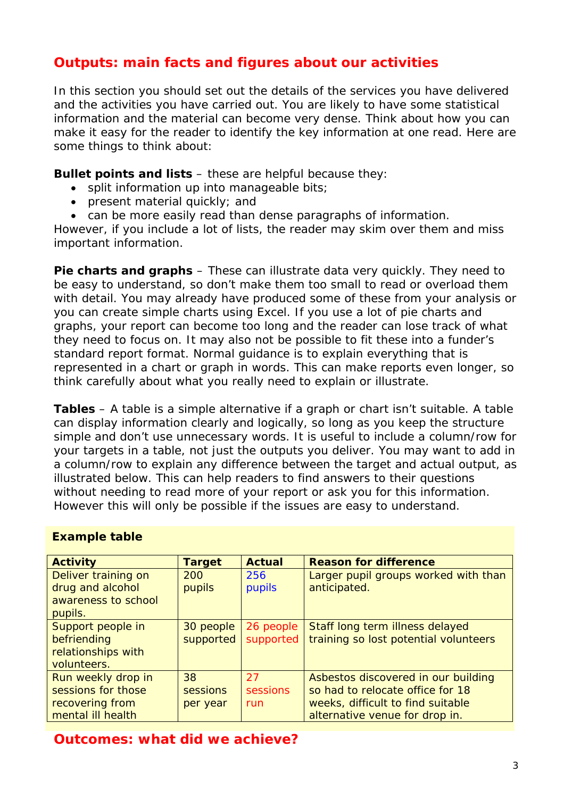# **Outputs: main facts and figures about our activities**

In this section you should set out the details of the services you have delivered and the activities you have carried out. You are likely to have some statistical information and the material can become very dense. Think about how you can make it easy for the reader to identify the key information at one read. Here are some things to think about:

**Bullet points and lists – these are helpful because they:** 

- split information up into manageable bits;
- present material quickly; and
- can be more easily read than dense paragraphs of information.

However, if you include a lot of lists, the reader may skim over them and miss important information.

**Pie charts and graphs** – These can illustrate data very quickly. They need to be easy to understand, so don't make them too small to read or overload them with detail. You may already have produced some of these from your analysis or you can create simple charts using Excel. If you use a lot of pie charts and graphs, your report can become too long and the reader can lose track of what they need to focus on. It may also not be possible to fit these into a funder's standard report format. Normal guidance is to explain everything that is represented in a chart or graph in words. This can make reports even longer, so think carefully about what you really need to explain or illustrate.

**Tables** – A table is a simple alternative if a graph or chart isn't suitable. A table can display information clearly and logically, so long as you keep the structure simple and don't use unnecessary words. It is useful to include a column/row for your targets in a table, not just the outputs you deliver. You may want to add in a column/row to explain any difference between the target and actual output, as illustrated below. This can help readers to find answers to their questions without needing to read more of your report or ask you for this information. However this will only be possible if the issues are easy to understand.

| <b>Activity</b>     | <b>Target</b> | <b>Actual</b> | <b>Reason for difference</b>          |
|---------------------|---------------|---------------|---------------------------------------|
| Deliver training on | 200           | 256           | Larger pupil groups worked with than  |
| drug and alcohol    | pupils        | pupils        | anticipated.                          |
| awareness to school |               |               |                                       |
| pupils.             |               |               |                                       |
| Support people in   | 30 people     | 26 people     | Staff long term illness delayed       |
| befriending         | supported     | supported     | training so lost potential volunteers |
| relationships with  |               |               |                                       |
| volunteers.         |               |               |                                       |
| Run weekly drop in  | 38            | 27            | Asbestos discovered in our building   |
| sessions for those  | sessions      | sessions      | so had to relocate office for 18      |
| recovering from     | per year      | run           | weeks, difficult to find suitable     |
| mental ill health   |               |               | alternative venue for drop in.        |

#### **Example table**

**Outcomes: what did we achieve?**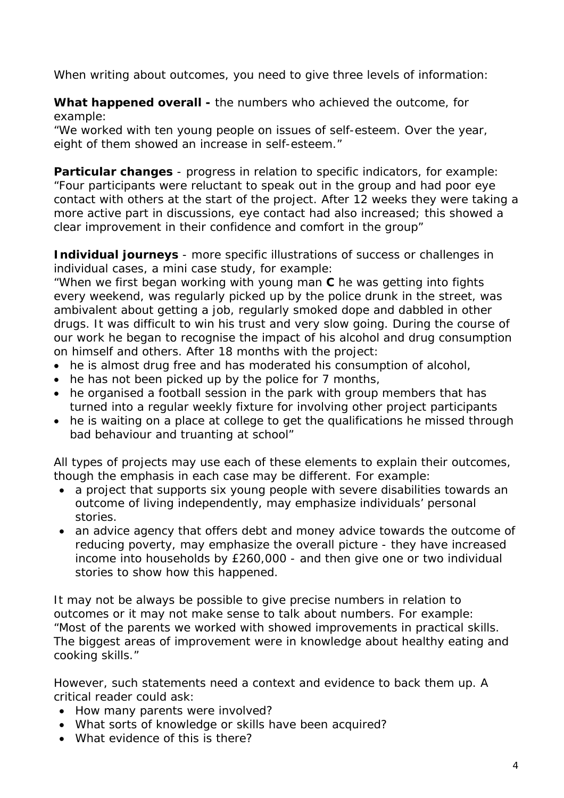When writing about outcomes, you need to give three levels of information:

**What happened overall -** the numbers who achieved the outcome, for example:

*"We worked with ten young people on issues of self-esteem. Over the year, eight of them showed an increase in self-esteem."* 

**Particular changes** - progress in relation to specific indicators, for example: *"Four participants were reluctant to speak out in the group and had poor eye contact with others at the start of the project. After 12 weeks they were taking a more active part in discussions, eye contact had also increased; this showed a clear improvement in their confidence and comfort in the group"* 

**Individual journeys** - more specific illustrations of success or challenges in individual cases, a mini case study, for example:

*"When we first began working with young man C he was getting into fights every weekend, was regularly picked up by the police drunk in the street, was ambivalent about getting a job, regularly smoked dope and dabbled in other drugs. It was difficult to win his trust and very slow going. During the course of our work he began to recognise the impact of his alcohol and drug consumption on himself and others. After 18 months with the project:* 

- *he is almost drug free and has moderated his consumption of alcohol,*
- *he has not been picked up by the police for 7 months,*
- *he organised a football session in the park with group members that has turned into a regular weekly fixture for involving other project participants*
- *he is waiting on a place at college to get the qualifications he missed through bad behaviour and truanting at school"*

All types of projects may use each of these elements to explain their outcomes, though the emphasis in each case may be different. For example:

- a project that supports six young people with severe disabilities towards an outcome of living independently, may emphasize individuals' personal stories.
- an advice agency that offers debt and money advice towards the outcome of reducing poverty, may emphasize the overall picture - they have increased income into households by £260,000 - and then give one or two individual stories to show how this happened.

It may not be always be possible to give precise numbers in relation to outcomes or it may not make sense to talk about numbers. For example: *"Most of the parents we worked with showed improvements in practical skills. The biggest areas of improvement were in knowledge about healthy eating and cooking skills."* 

However, such statements need a context and evidence to back them up. A critical reader could ask:

- How many parents were involved?
- What sorts of knowledge or skills have been acquired?
- What evidence of this is there?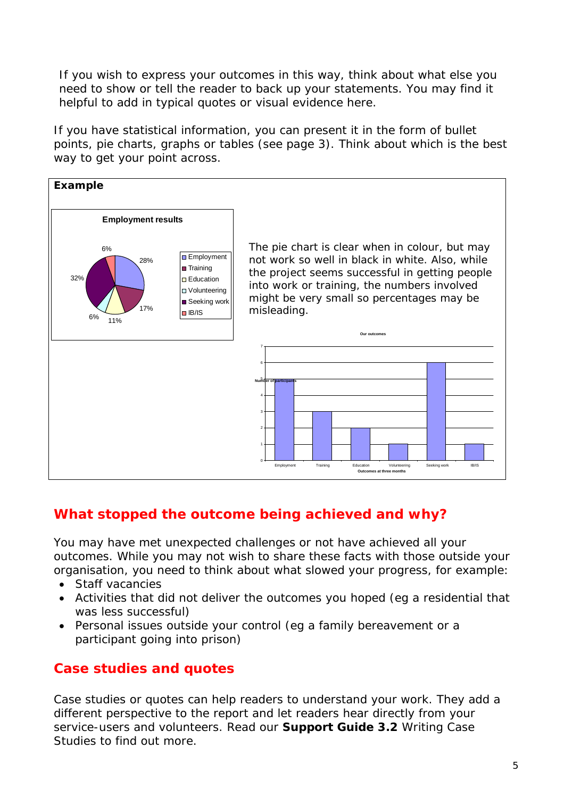If you wish to express your outcomes in this way, think about what else you need to show or tell the reader to back up your statements. You may find it helpful to add in typical quotes or visual evidence here.

If you have statistical information, you can present it in the form of bullet points, pie charts, graphs or tables (see page 3). Think about which is the best way to get your point across.



# **What stopped the outcome being achieved and why?**

You may have met unexpected challenges or not have achieved all your outcomes. While you may not wish to share these facts with those outside your organisation, you need to think about what slowed your progress, for example:

- Staff vacancies
- Activities that did not deliver the outcomes you hoped (eg a residential that was less successful)
- Personal issues outside your control (eg a family bereavement or a participant going into prison)

# **Case studies and quotes**

Case studies or quotes can help readers to understand your work. They add a different perspective to the report and let readers hear directly from your service-users and volunteers. Read our **Support Guide 3.2** *Writing Case Studies* to find out more.